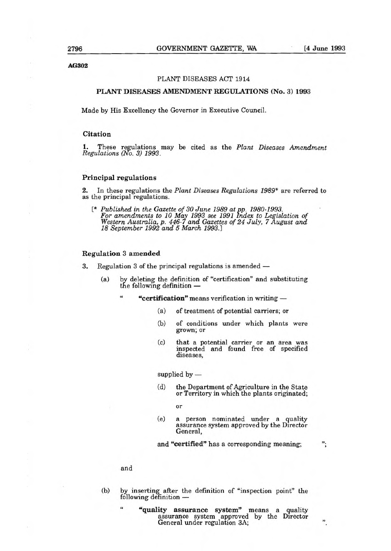**AG302** 

## PLANT DISEASES ACT 1914

# **PLANT DISEASES AMENDMENT REGULATIONS (No.** 3) 1993

Made by His Excellency the Governor in Executive Council.

### **Citation**

These regulations may be cited as the Plant Diseases Amendment Regulations (No. 3) 1993.

# **Principal regulations**

2. In these regulations the Plant Diseases Regulations 1989\* are referred to as the principal regulations.

 $\mathfrak{t}^*$  Published in the Gazette of 30 June 1989 at pp. 1980-1993. For amendments to 10 May 1993 see 1991 index to Legislation of Western Australia, p. 446-7 and Gazettes of 24 July, 7 August and 18 September 1992 and 5 March 1993.]

#### **Regulation** 3 **amended**

- 3. Regulation 3 of the principal regulations is amended
	- (a) by deleting the definition of "certification" and substituting the following definition —
		- **"certification"** means verification in writing i.
			- (a) of treatment of potential carriers; or
			- (b) of conditions under which plants were grown; **Or**
			- (c) that a potential carrier or an area was inspected and found free of specified diseases,

supplied by —

(d) the Department of Agriculture in the State or Territory in which the plants originated;

or

(e) a person nominated under a quality assurance system approved by the Director General,

and **"certified"** has a corresponding meaning;

";

"

#### and

(b) by inserting after the definition of "inspection point" the following definition —

**"quality assurance system"** means a quality assurance system approved by the Director General under regulation 3A; **id**